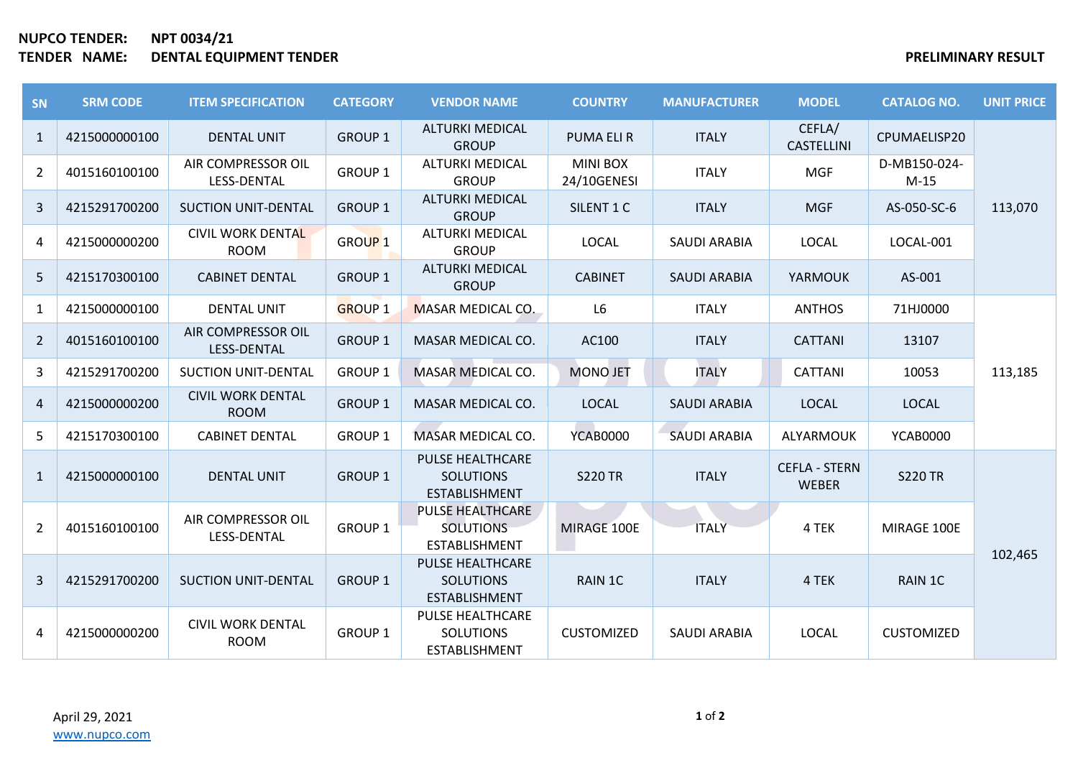## **NUPCO TENDER: NPT 0034/21 TENDER NAME: DENTAL EQUIPMENT TENDER PRELIMINARY RESULT**

| SN             | <b>SRM CODE</b> | <b>ITEM SPECIFICATION</b>                | <b>CATEGORY</b>    | <b>VENDOR NAME</b>                                                  | <b>COUNTRY</b>                 | <b>MANUFACTURER</b> | <b>MODEL</b>                         | <b>CATALOG NO.</b>     | <b>UNIT PRICE</b> |
|----------------|-----------------|------------------------------------------|--------------------|---------------------------------------------------------------------|--------------------------------|---------------------|--------------------------------------|------------------------|-------------------|
| $\mathbf{1}$   | 4215000000100   | <b>DENTAL UNIT</b>                       | <b>GROUP 1</b>     | <b>ALTURKI MEDICAL</b><br><b>GROUP</b>                              | <b>PUMA ELIR</b>               | <b>ITALY</b>        | CEFLA/<br><b>CASTELLINI</b>          | CPUMAELISP20           | 113,070           |
| $\overline{2}$ | 4015160100100   | AIR COMPRESSOR OIL<br>LESS-DENTAL        | <b>GROUP 1</b>     | <b>ALTURKI MEDICAL</b><br><b>GROUP</b>                              | <b>MINI BOX</b><br>24/10GENESI | <b>ITALY</b>        | <b>MGF</b>                           | D-MB150-024-<br>$M-15$ |                   |
| $\overline{3}$ | 4215291700200   | <b>SUCTION UNIT-DENTAL</b>               | <b>GROUP 1</b>     | <b>ALTURKI MEDICAL</b><br><b>GROUP</b>                              | SILENT 1 C                     | <b>ITALY</b>        | <b>MGF</b>                           | AS-050-SC-6            |                   |
| 4              | 4215000000200   | <b>CIVIL WORK DENTAL</b><br><b>ROOM</b>  | GROUP <sub>1</sub> | <b>ALTURKI MEDICAL</b><br><b>GROUP</b>                              | <b>LOCAL</b>                   | <b>SAUDI ARABIA</b> | <b>LOCAL</b>                         | LOCAL-001              |                   |
| 5              | 4215170300100   | <b>CABINET DENTAL</b>                    | <b>GROUP 1</b>     | <b>ALTURKI MEDICAL</b><br><b>GROUP</b>                              | <b>CABINET</b>                 | <b>SAUDI ARABIA</b> | <b>YARMOUK</b>                       | AS-001                 |                   |
| $\mathbf{1}$   | 4215000000100   | <b>DENTAL UNIT</b>                       | <b>GROUP 1</b>     | MASAR MEDICAL CO.                                                   | L <sub>6</sub>                 | <b>ITALY</b>        | <b>ANTHOS</b>                        | 71HJ0000               | 113,185           |
| $\overline{2}$ | 4015160100100   | AIR COMPRESSOR OIL<br><b>LESS-DENTAL</b> | <b>GROUP 1</b>     | MASAR MEDICAL CO.                                                   | AC100                          | <b>ITALY</b>        | <b>CATTANI</b>                       | 13107                  |                   |
| 3              | 4215291700200   | <b>SUCTION UNIT-DENTAL</b>               | <b>GROUP 1</b>     | MASAR MEDICAL CO.                                                   | <b>MONO JET</b>                | <b>ITALY</b>        | <b>CATTANI</b>                       | 10053                  |                   |
| $\overline{4}$ | 4215000000200   | <b>CIVIL WORK DENTAL</b><br><b>ROOM</b>  | <b>GROUP 1</b>     | MASAR MEDICAL CO.                                                   | <b>LOCAL</b>                   | <b>SAUDI ARABIA</b> | <b>LOCAL</b>                         | <b>LOCAL</b>           |                   |
| 5              | 4215170300100   | <b>CABINET DENTAL</b>                    | <b>GROUP 1</b>     | MASAR MEDICAL CO.                                                   | <b>YCAB0000</b>                | <b>SAUDI ARABIA</b> | ALYARMOUK                            | <b>YCAB0000</b>        |                   |
| $\mathbf{1}$   | 4215000000100   | <b>DENTAL UNIT</b>                       | <b>GROUP 1</b>     | <b>PULSE HEALTHCARE</b><br><b>SOLUTIONS</b><br><b>ESTABLISHMENT</b> | <b>S220 TR</b>                 | <b>ITALY</b>        | <b>CEFLA - STERN</b><br><b>WEBER</b> | <b>S220 TR</b>         | 102,465           |
| $\overline{2}$ | 4015160100100   | AIR COMPRESSOR OIL<br>LESS-DENTAL        | <b>GROUP 1</b>     | <b>PULSE HEALTHCARE</b><br><b>SOLUTIONS</b><br><b>ESTABLISHMENT</b> | MIRAGE 100E                    | <b>ITALY</b>        | 4 TEK                                | MIRAGE 100E            |                   |
| $\overline{3}$ | 4215291700200   | <b>SUCTION UNIT-DENTAL</b>               | <b>GROUP 1</b>     | <b>PULSE HEALTHCARE</b><br><b>SOLUTIONS</b><br><b>ESTABLISHMENT</b> | RAIN 1C                        | <b>ITALY</b>        | 4 TEK                                | RAIN 1C                |                   |
| 4              | 4215000000200   | <b>CIVIL WORK DENTAL</b><br><b>ROOM</b>  | <b>GROUP 1</b>     | PULSE HEALTHCARE<br><b>SOLUTIONS</b><br>ESTABLISHMENT               | <b>CUSTOMIZED</b>              | <b>SAUDI ARABIA</b> | <b>LOCAL</b>                         | <b>CUSTOMIZED</b>      |                   |